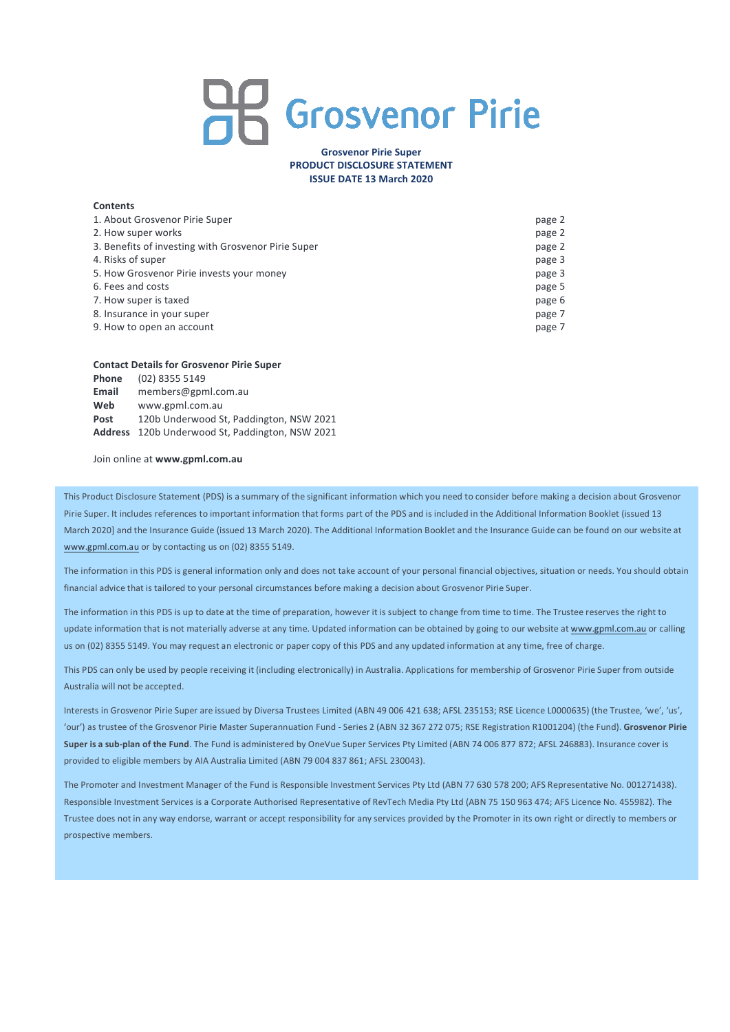# **AR** Grosvenor Pirie

## **Grosvenor Pirie Super PRODUCT DISCLOSURE STATEMENT ISSUE DATE 13 March 2020**

## **Contents**

| 1. About Grosvenor Pirie Super                      | page 2 |
|-----------------------------------------------------|--------|
| 2. How super works                                  | page 2 |
| 3. Benefits of investing with Grosvenor Pirie Super | page 2 |
| 4. Risks of super                                   | page 3 |
| 5. How Grosvenor Pirie invests your money           | page 3 |
| 6. Fees and costs                                   | page 5 |
| 7. How super is taxed                               | page 6 |
| 8. Insurance in your super                          | page 7 |
| 9. How to open an account                           | page 7 |

#### **Contact Details for Grosvenor Pirie Super**

| Phone | (02) 8355 5149                                  |
|-------|-------------------------------------------------|
| Email | members@gpml.com.au                             |
| Web   | www.gpml.com.au                                 |
| Post  | 120b Underwood St, Paddington, NSW 2021         |
|       | Address 120b Underwood St, Paddington, NSW 2021 |
|       |                                                 |

Join online at **www.gpml.com.au**

This Product Disclosure Statement (PDS) is a summary of the significant information which you need to consider before making a decision about Grosvenor Pirie Super. It includes references to important information that forms part of the PDS and is included in the Additional Information Booklet (issued 13 March 2020] and the Insurance Guide (issued 13 March 2020). The Additional Information Booklet and the Insurance Guide can be found on our website at www.gpml.com.au or by contacting us on (02) 8355 5149.

The information in this PDS is general information only and does not take account of your personal financial objectives, situation or needs. You should obtain financial advice that is tailored to your personal circumstances before making a decision about Grosvenor Pirie Super.

The information in this PDS is up to date at the time of preparation, however it is subject to change from time to time. The Trustee reserves the right to update information that is not materially adverse at any time. Updated information can be obtained by going to our website at www.gpml.com.au or calling us on (02) 8355 5149. You may request an electronic or paper copy of this PDS and any updated information at any time, free of charge.

This PDS can only be used by people receiving it (including electronically) in Australia. Applications for membership of Grosvenor Pirie Super from outside Australia will not be accepted.

Interests in Grosvenor Pirie Super are issued by Diversa Trustees Limited (ABN 49 006 421 638; AFSL 235153; RSE Licence L0000635) (the Trustee, 'we', 'us', 'our') as trustee of the Grosvenor Pirie Master Superannuation Fund - Series 2 (ABN 32 367 272 075; RSE Registration R1001204) (the Fund). **Grosvenor Pirie Super is a sub-plan of the Fund**. The Fund is administered by OneVue Super Services Pty Limited (ABN 74 006 877 872; AFSL 246883). Insurance cover is provided to eligible members by AIA Australia Limited (ABN 79 004 837 861; AFSL 230043).

The Promoter and Investment Manager of the Fund is Responsible Investment Services Pty Ltd (ABN 77 630 578 200; AFS Representative No. 001271438). Responsible Investment Services is a Corporate Authorised Representative of RevTech Media Pty Ltd (ABN 75 150 963 474; AFS Licence No. 455982). The Trustee does not in any way endorse, warrant or accept responsibility for any services provided by the Promoter in its own right or directly to members or prospective members.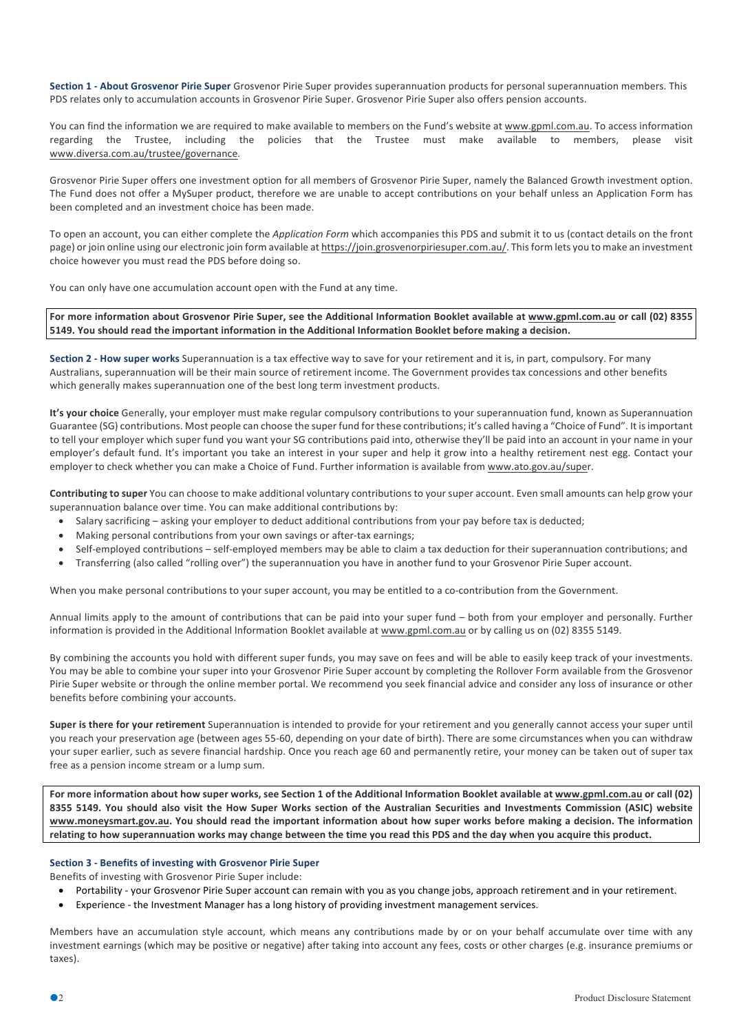**Section 1 - About Grosvenor Pirie Super** Grosvenor Pirie Super provides superannuation products for personal superannuation members. This PDS relates only to accumulation accounts in Grosvenor Pirie Super. Grosvenor Pirie Super also offers pension accounts.

You can find the information we are required to make available to members on the Fund's website at www.gpml.com.au. To access information regarding the Trustee, including the policies that the Trustee must make available to members, please visit www.diversa.com.au/trustee/governance.

Grosvenor Pirie Super offers one investment option for all members of Grosvenor Pirie Super, namely the Balanced Growth investment option. The Fund does not offer a MySuper product, therefore we are unable to accept contributions on your behalf unless an Application Form has been completed and an investment choice has been made.

To open an account, you can either complete the *Application Form* which accompanies this PDS and submit it to us (contact details on the front page) or join online using our electronic join form available at https://join.grosvenorpiriesuper.com.au/. Thisform lets you to make an investment choice however you must read the PDS before doing so.

You can only have one accumulation account open with the Fund at any time.

For more information about Grosvenor Pirie Super, see the Additional Information Booklet available at www.gpml.com.au or call (02) 8355 **5149. You should read the important information in the Additional Information Booklet before making a decision.**

**Section 2 - How super works** Superannuation is a tax effective way to save for your retirement and it is, in part, compulsory. For many Australians, superannuation will be their main source of retirement income. The Government provides tax concessions and other benefits which generally makes superannuation one of the best long term investment products.

**It's your choice** Generally, your employer must make regular compulsory contributions to your superannuation fund, known as Superannuation Guarantee (SG) contributions. Most people can choose the super fund for these contributions; it's called having a "Choice of Fund". It isimportant to tell your employer which super fund you want your SG contributions paid into, otherwise they'll be paid into an account in your name in your employer's default fund. It's important you take an interest in your super and help it grow into a healthy retirement nest egg. Contact your employer to check whether you can make a Choice of Fund. Further information is available from www.ato.gov.au/super.

**Contributing to super** You can choose to make additional voluntary contributions to your super account. Even small amounts can help grow your superannuation balance over time. You can make additional contributions by:

- Salary sacrificing asking your employer to deduct additional contributions from your pay before tax is deducted;
- Making personal contributions from your own savings or after-tax earnings;
- Self-employed contributions self-employed members may be able to claim a tax deduction for their superannuation contributions; and
- Transferring (also called "rolling over") the superannuation you have in another fund to your Grosvenor Pirie Super account.

When you make personal contributions to your super account, you may be entitled to a co-contribution from the Government.

Annual limits apply to the amount of contributions that can be paid into your super fund – both from your employer and personally. Further information is provided in the Additional Information Booklet available at www.gpml.com.au or by calling us on (02) 8355 5149.

By combining the accounts you hold with different super funds, you may save on fees and will be able to easily keep track of your investments. You may be able to combine your super into your Grosvenor Pirie Super account by completing the Rollover Form available from the Grosvenor Pirie Super website or through the online member portal. We recommend you seek financial advice and consider any loss of insurance or other benefits before combining your accounts.

**Super is there for your retirement** Superannuation is intended to provide for your retirement and you generally cannot access your super until you reach your preservation age (between ages 55-60, depending on your date of birth). There are some circumstances when you can withdraw your super earlier, such as severe financial hardship. Once you reach age 60 and permanently retire, your money can be taken out of super tax free as a pension income stream or a lump sum.

For more information about how super works, see Section 1 of the Additional Information Booklet available at www.gpml.com.au or call (02) 8355 5149. You should also visit the How Super Works section of the Australian Securities and Investments Commission (ASIC) website www.moneysmart.gov.au. You should read the important information about how super works before making a decision. The information relating to how superannuation works may change between the time you read this PDS and the day when you acquire this product.

## **Section 3 - Benefits of investing with Grosvenor Pirie Super**

Benefits of investing with Grosvenor Pirie Super include:

- Portability your Grosvenor Pirie Super account can remain with you as you change jobs, approach retirement and in your retirement.
- Experience the Investment Manager has a long history of providing investment management services.

Members have an accumulation style account, which means any contributions made by or on your behalf accumulate over time with any investment earnings (which may be positive or negative) after taking into account any fees, costs or other charges (e.g. insurance premiums or taxes).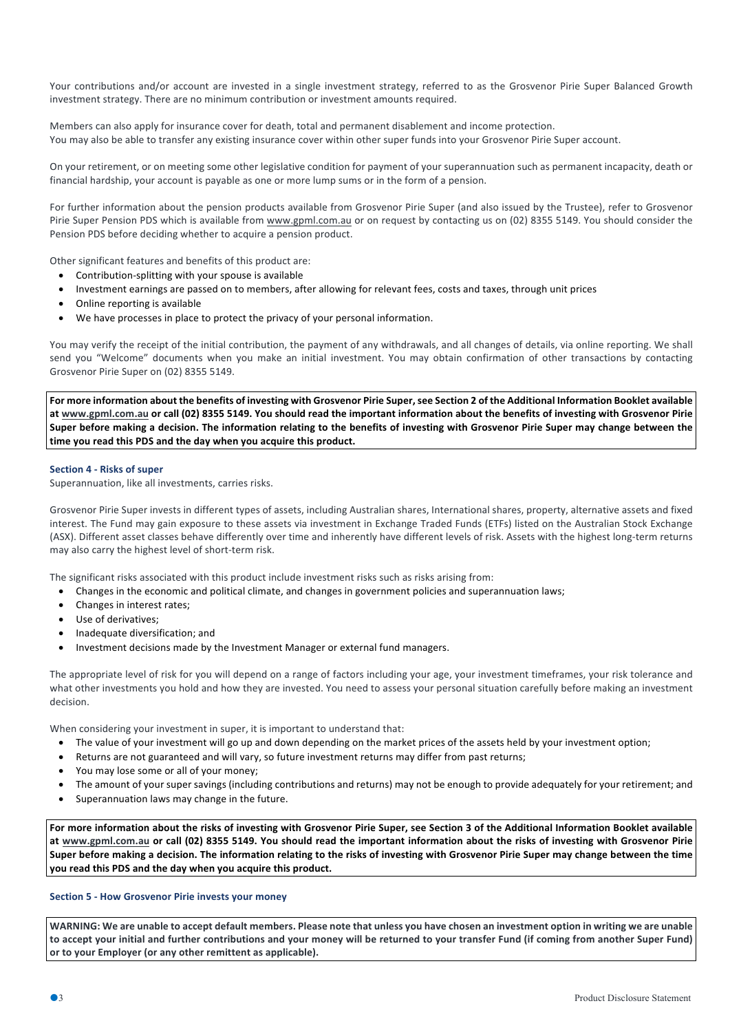Your contributions and/or account are invested in a single investment strategy, referred to as the Grosvenor Pirie Super Balanced Growth investment strategy. There are no minimum contribution or investment amounts required.

Members can also apply for insurance cover for death, total and permanent disablement and income protection. You may also be able to transfer any existing insurance cover within other super funds into your Grosvenor Pirie Super account.

On your retirement, or on meeting some other legislative condition for payment of your superannuation such as permanent incapacity, death or financial hardship, your account is payable as one or more lump sums or in the form of a pension.

For further information about the pension products available from Grosvenor Pirie Super (and also issued by the Trustee), refer to Grosvenor Pirie Super Pension PDS which is available from www.gpml.com.au or on request by contacting us on (02) 8355 5149. You should consider the Pension PDS before deciding whether to acquire a pension product.

Other significant features and benefits of this product are:

- Contribution-splitting with your spouse is available
- Investment earnings are passed on to members, after allowing for relevant fees, costs and taxes, through unit prices
- Online reporting is available
- We have processes in place to protect the privacy of your personal information.

You may verify the receipt of the initial contribution, the payment of any withdrawals, and all changes of details, via online reporting. We shall send you "Welcome" documents when you make an initial investment. You may obtain confirmation of other transactions by contacting Grosvenor Pirie Super on (02) 8355 5149. 

For more information about the benefits of investing with Grosvenor Pirie Super, see Section 2 of the Additional Information Booklet available at www.gpml.com.au or call (02) 8355 5149. You should read the important information about the benefits of investing with Grosvenor Pirie Super before making a decision. The information relating to the benefits of investing with Grosvenor Pirie Super may change between the **time you read this PDS and the day when you acquire this product.**

#### **Section 4 - Risks of super**

Superannuation, like all investments, carries risks.

Grosvenor Pirie Super invests in different types of assets, including Australian shares, International shares, property, alternative assets and fixed interest. The Fund may gain exposure to these assets via investment in Exchange Traded Funds (ETFs) listed on the Australian Stock Exchange (ASX). Different asset classes behave differently over time and inherently have different levels of risk. Assets with the highest long-term returns may also carry the highest level of short-term risk.

The significant risks associated with this product include investment risks such as risks arising from:

- Changes in the economic and political climate, and changes in government policies and superannuation laws;
- Changes in interest rates;
- Use of derivatives;
- Inadequate diversification; and
- Investment decisions made by the Investment Manager or external fund managers.

The appropriate level of risk for you will depend on a range of factors including your age, your investment timeframes, your risk tolerance and what other investments you hold and how they are invested. You need to assess your personal situation carefully before making an investment decision.

When considering your investment in super, it is important to understand that:

- The value of your investment will go up and down depending on the market prices of the assets held by your investment option;
- Returns are not guaranteed and will vary, so future investment returns may differ from past returns;
- You may lose some or all of your money;
- The amount of your super savings (including contributions and returns) may not be enough to provide adequately for your retirement; and
- Superannuation laws may change in the future.

For more information about the risks of investing with Grosvenor Pirie Super, see Section 3 of the Additional Information Booklet available at www.gpml.com.au or call (02) 8355 5149. You should read the important information about the risks of investing with Grosvenor Pirie Super before making a decision. The information relating to the risks of investing with Grosvenor Pirie Super may change between the time **you read this PDS and the day when you acquire this product.**

#### **Section 5 - How Grosvenor Pirie invests your money**

WARNING: We are unable to accept default members. Please note that unless you have chosen an investment option in writing we are unable to accept your initial and further contributions and your money will be returned to your transfer Fund (if coming from another Super Fund) **or to your Employer (or any other remittent as applicable).**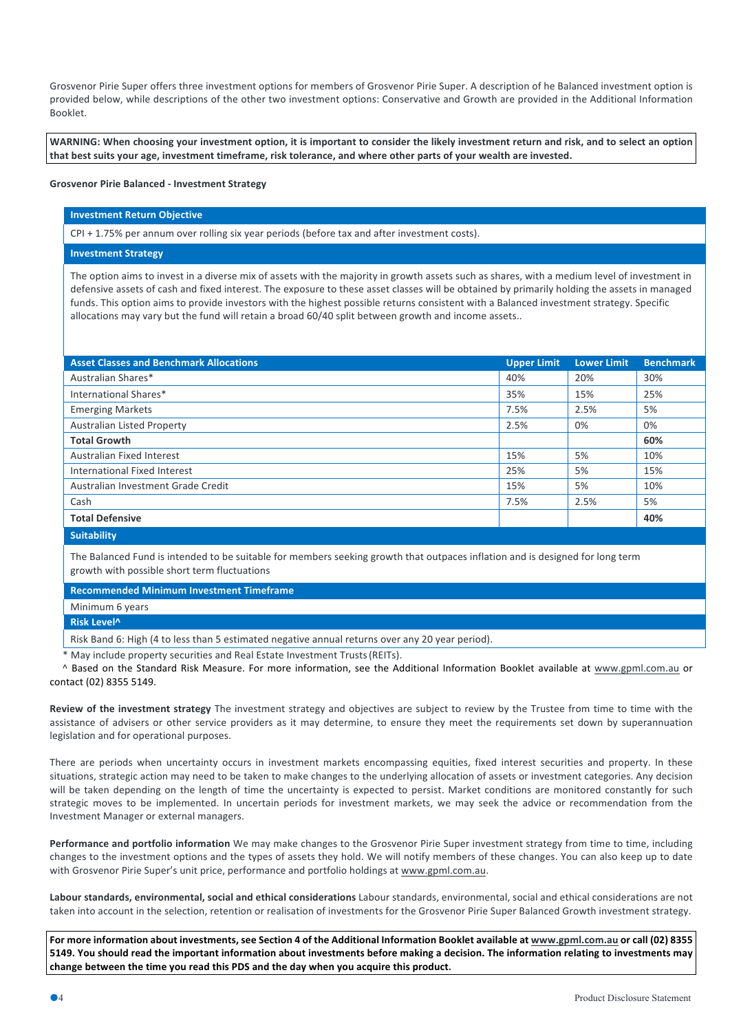Grosvenor Pirie Super offers three investment options for members of Grosvenor Pirie Super. A description of he Balanced investment option is provided below, while descriptions of the other two investment options: Conservative and Growth are provided in the Additional Information Booklet.

WARNING: When choosing your investment option, it is important to consider the likely investment return and risk, and to select an option that best suits your age, investment timeframe, risk tolerance, and where other parts of your wealth are invested.

#### **Grosvenor Pirie Balanced - Investment Strategy**

#### **Investment Return Objective**

CPI + 1.75% per annum over rolling six year periods (before tax and after investment costs).

# **Investment Strategy**

The option aims to invest in a diverse mix of assets with the majority in growth assets such as shares, with a medium level of investment in defensive assets of cash and fixed interest. The exposure to these asset classes will be obtained by primarily holding the assets in managed funds. This option aims to provide investors with the highest possible returns consistent with a Balanced investment strategy. Specific allocations may vary but the fund will retain a broad 60/40 split between growth and income assets..

| <b>Asset Classes and Benchmark Allocations</b> | <b>Upper Limit</b> | <b>Lower Limit</b> | <b>Benchmark</b> |
|------------------------------------------------|--------------------|--------------------|------------------|
| Australian Shares*                             | 40%                | 20%                | 30%              |
| International Shares*                          | 35%                | 15%                | 25%              |
| <b>Emerging Markets</b>                        | 7.5%               | 2.5%               | 5%               |
| <b>Australian Listed Property</b>              | 2.5%               | 0%                 | 0%               |
| <b>Total Growth</b>                            |                    |                    | 60%              |
| Australian Fixed Interest                      | 15%                | 5%                 | 10%              |
| International Fixed Interest                   | 25%                | 5%                 | 15%              |
| Australian Investment Grade Credit             | 15%                | 5%                 | 10%              |
| Cash                                           | 7.5%               | 2.5%               | 5%               |
| <b>Total Defensive</b>                         |                    |                    | 40%              |
| <b>Suitability</b>                             |                    |                    |                  |

The Balanced Fund is intended to be suitable for members seeking growth that outpaces inflation and is designed for long term growth with possible short term fluctuations

**Recommended Minimum Investment Timeframe**

Minimum 6 years

**Risk Level^**

Risk Band 6: High (4 to less than 5 estimated negative annual returns over any 20 year period).

May include property securities and Real Estate Investment Trusts (REITs).

^ Based on the Standard Risk Measure. For more information, see the Additional Information Booklet available at www.gpml.com.au or contact (02) 8355 5149.

**Review of the investment strategy** The investment strategy and objectives are subject to review by the Trustee from time to time with the assistance of advisers or other service providers as it may determine, to ensure they meet the requirements set down by superannuation legislation and for operational purposes.

There are periods when uncertainty occurs in investment markets encompassing equities, fixed interest securities and property. In these situations, strategic action may need to be taken to make changes to the underlying allocation of assets or investment categories. Any decision will be taken depending on the length of time the uncertainty is expected to persist. Market conditions are monitored constantly for such strategic moves to be implemented. In uncertain periods for investment markets, we may seek the advice or recommendation from the Investment Manager or external managers.

**Performance and portfolio information** We may make changes to the Grosvenor Pirie Super investment strategy from time to time, including changes to the investment options and the types of assets they hold. We will notify members of these changes. You can also keep up to date with Grosvenor Pirie Super's unit price, performance and portfolio holdings at www.gpml.com.au.

**Labour standards, environmental, social and ethical considerations** Labour standards, environmental, social and ethical considerations are not taken into account in the selection, retention or realisation of investments for the Grosvenor Pirie Super Balanced Growth investment strategy.

For more information about investments, see Section 4 of the Additional Information Booklet available at www.gpml.com.au or call (02) 8355 5149. You should read the important information about investments before making a decision. The information relating to investments may **change between the time you read this PDS and the day when you acquire this product.**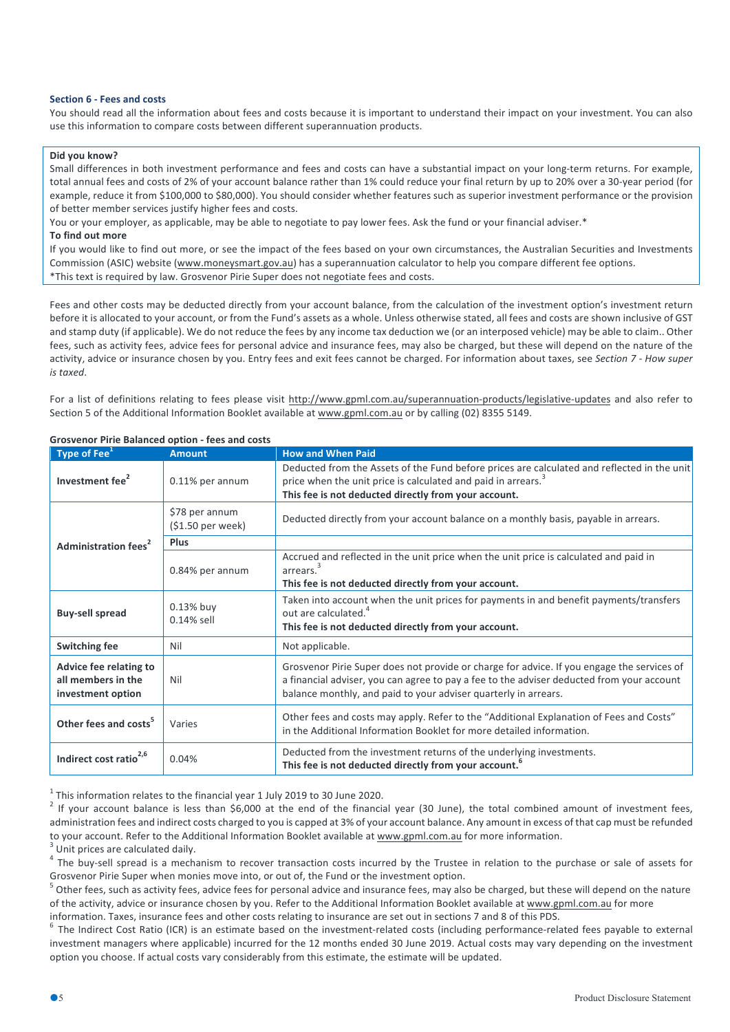## **Section 6 - Fees and costs**

You should read all the information about fees and costs because it is important to understand their impact on your investment. You can also use this information to compare costs between different superannuation products.

## **Did you know?**

Small differences in both investment performance and fees and costs can have a substantial impact on your long-term returns. For example, total annual fees and costs of 2% of your account balance rather than 1% could reduce your final return by up to 20% over a 30-year period (for example, reduce it from \$100,000 to \$80,000). You should consider whether features such as superior investment performance or the provision of better member services justify higher fees and costs.

You or your employer, as applicable, may be able to negotiate to pay lower fees. Ask the fund or your financial adviser.\* **To find out more**

If you would like to find out more, or see the impact of the fees based on your own circumstances, the Australian Securities and Investments Commission (ASIC) website (www.moneysmart.gov.au) has a superannuation calculator to help you compare different fee options. \*This text is required by law. Grosvenor Pirie Super does not negotiate fees and costs.

Fees and other costs may be deducted directly from your account balance, from the calculation of the investment option's investment return before it is allocated to your account, or from the Fund's assets as a whole. Unless otherwise stated, all fees and costs are shown inclusive of GST and stamp duty (if applicable). We do not reduce the fees by any income tax deduction we (or an interposed vehicle) may be able to claim.. Other fees, such as activity fees, advice fees for personal advice and insurance fees, may also be charged, but these will depend on the nature of the activity, advice or insurance chosen by you. Entry fees and exit fees cannot be charged. For information about taxes, see *Section 7 - How super is taxed*.

For a list of definitions relating to fees please visit http://www.gpml.com.au/superannuation-products/legislative-updates and also refer to Section 5 of the Additional Information Booklet available at www.gpml.com.au or by calling (02) 8355 5149.

| Type of Fee $^1$                                                  | <b>Amount</b>                       | <b>How and When Paid</b>                                                                                                                                                                                                                                   |
|-------------------------------------------------------------------|-------------------------------------|------------------------------------------------------------------------------------------------------------------------------------------------------------------------------------------------------------------------------------------------------------|
| Investment fee <sup>2</sup>                                       | 0.11% per annum                     | Deducted from the Assets of the Fund before prices are calculated and reflected in the unit<br>price when the unit price is calculated and paid in arrears. <sup>3</sup><br>This fee is not deducted directly from your account.                           |
|                                                                   | \$78 per annum<br>(\$1.50 per week) | Deducted directly from your account balance on a monthly basis, payable in arrears.                                                                                                                                                                        |
| <b>Administration fees<sup>2</sup></b>                            | Plus                                |                                                                                                                                                                                                                                                            |
|                                                                   | 0.84% per annum                     | Accrued and reflected in the unit price when the unit price is calculated and paid in<br>arrears. <sup>3</sup><br>This fee is not deducted directly from your account.                                                                                     |
| <b>Buy-sell spread</b>                                            | 0.13% buy<br>$0.14\%$ sell          | Taken into account when the unit prices for payments in and benefit payments/transfers<br>out are calculated. <sup>4</sup><br>This fee is not deducted directly from your account.                                                                         |
| <b>Switching fee</b>                                              | Nil                                 | Not applicable.                                                                                                                                                                                                                                            |
| Advice fee relating to<br>all members in the<br>investment option | Nil                                 | Grosvenor Pirie Super does not provide or charge for advice. If you engage the services of<br>a financial adviser, you can agree to pay a fee to the adviser deducted from your account<br>balance monthly, and paid to your adviser quarterly in arrears. |
| Other fees and costs <sup>5</sup>                                 | Varies                              | Other fees and costs may apply. Refer to the "Additional Explanation of Fees and Costs"<br>in the Additional Information Booklet for more detailed information.                                                                                            |
| Indirect cost ratio <sup>2,6</sup>                                | 0.04%                               | Deducted from the investment returns of the underlying investments.<br>This fee is not deducted directly from your account.                                                                                                                                |

#### **Grosvenor Pirie Balanced option - fees and costs**

<sup>1</sup> This information relates to the financial year 1 July 2019 to 30 June 2020.<br><sup>2</sup> If your account balance is less than \$6,000 at the end of the financial year (30 June), the total combined amount of investment fees, administration fees and indirect costs charged to you is capped at 3% of your account balance. Any amount in excess of that cap must be refunded to your account. Refer to the Additional Information Booklet available at  $\underline{\text{www.gpml.com.au}}$  for more information.<br><sup>3</sup> Unit prices are calculated daily.<br><sup>4</sup> The buy-sell spread is a mechanism to recover transaction costs inc

Grosvenor Pirie Super when monies move into, or out of, the Fund or the investment option.<br><sup>5</sup> Other fees, such as activity fees, advice fees for personal advice and insurance fees, may also be charged, but these will depe

of the activity, advice or insurance chosen by you. Refer to the Additional Information Booklet available at www.gpml.com.au for more

information. Taxes, insurance fees and other costs relating to insurance are set out in sections 7 and 8 of this PDS.<br><sup>6</sup> The Indirect Cost Ratio (ICR) is an estimate based on the investment-related costs (including perfor investment managers where applicable) incurred for the 12 months ended 30 June 2019. Actual costs may vary depending on the investment option you choose. If actual costs vary considerably from this estimate, the estimate will be updated.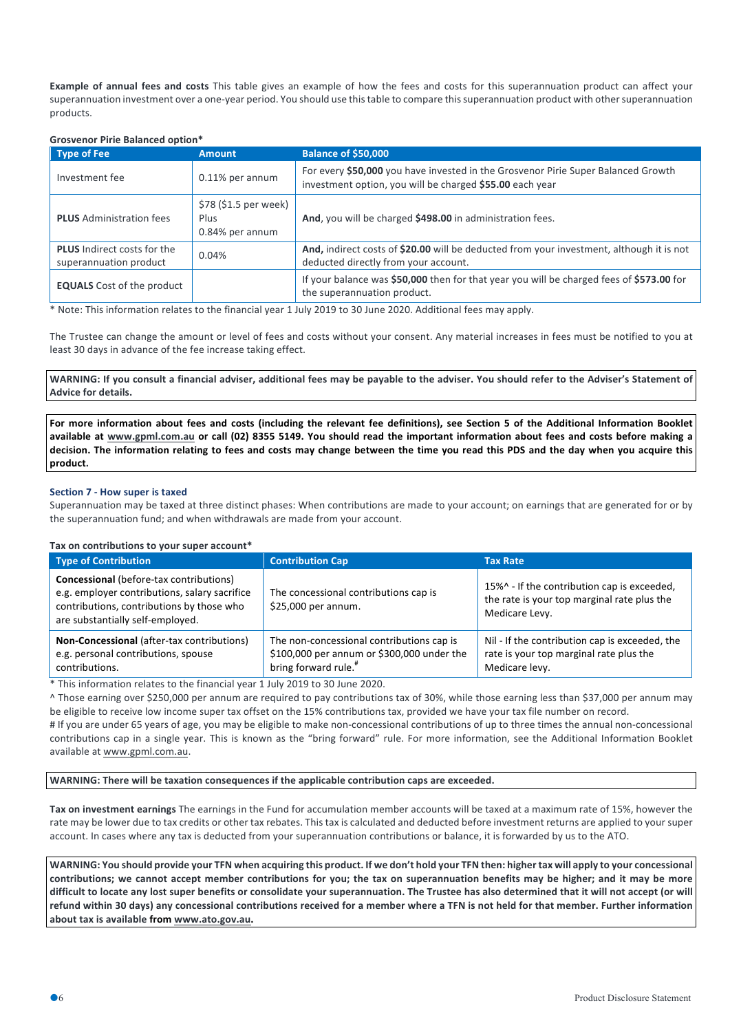**Example of annual fees and costs** This table gives an example of how the fees and costs for this superannuation product can affect your superannuation investment over a one-year period. You should use this table to compare this superannuation product with other superannuation products.

## **Grosvenor Pirie Balanced option\***

| <b>Type of Fee</b>                                           | <b>Amount</b>                                    | Balance of \$50,000                                                                                                                           |
|--------------------------------------------------------------|--------------------------------------------------|-----------------------------------------------------------------------------------------------------------------------------------------------|
| Investment fee                                               | 0.11% per annum                                  | For every \$50,000 you have invested in the Grosvenor Pirie Super Balanced Growth<br>investment option, you will be charged \$55.00 each year |
| <b>PLUS</b> Administration fees                              | \$78 (\$1.5 per week)<br>Plus<br>0.84% per annum | And, you will be charged \$498.00 in administration fees.                                                                                     |
| <b>PLUS</b> Indirect costs for the<br>superannuation product | 0.04%                                            | And, indirect costs of \$20.00 will be deducted from your investment, although it is not<br>deducted directly from your account.              |
| <b>EQUALS</b> Cost of the product                            |                                                  | If your balance was \$50,000 then for that year you will be charged fees of \$573.00 for<br>the superannuation product.                       |

\* Note: This information relates to the financial year 1 July 2019 to 30 June 2020. Additional fees may apply.

The Trustee can change the amount or level of fees and costs without your consent. Any material increases in fees must be notified to you at least 30 days in advance of the fee increase taking effect.

WARNING: If you consult a financial adviser, additional fees may be payable to the adviser. You should refer to the Adviser's Statement of **Advice for details.**

For more information about fees and costs (including the relevant fee definitions), see Section 5 of the Additional Information Booklet available at www.gpml.com.au or call (02) 8355 5149. You should read the important information about fees and costs before making a decision. The information relating to fees and costs may change between the time you read this PDS and the day when you acquire this **product.**

## **Section 7 - How super is taxed**

Superannuation may be taxed at three distinct phases: When contributions are made to your account; on earnings that are generated for or by the superannuation fund; and when withdrawals are made from your account.

#### **Tax on contributions to your super account\***

| <b>Type of Contribution</b>                                                                                                                                                      | <b>Contribution Cap</b>                                                                                                     | <b>Tax Rate</b>                                                                                              |
|----------------------------------------------------------------------------------------------------------------------------------------------------------------------------------|-----------------------------------------------------------------------------------------------------------------------------|--------------------------------------------------------------------------------------------------------------|
| <b>Concessional</b> (before-tax contributions)<br>e.g. employer contributions, salary sacrifice<br>contributions, contributions by those who<br>are substantially self-employed. | The concessional contributions cap is<br>\$25,000 per annum.                                                                | 15%^ - If the contribution cap is exceeded,<br>the rate is your top marginal rate plus the<br>Medicare Levy. |
| Non-Concessional (after-tax contributions)<br>e.g. personal contributions, spouse<br>contributions.                                                                              | The non-concessional contributions cap is<br>\$100,000 per annum or \$300,000 under the<br>bring forward rule. <sup>#</sup> | Nil - If the contribution cap is exceeded, the<br>rate is your top marginal rate plus the<br>Medicare levy.  |

\* This information relates to the financial year 1 July 2019 to 30 June 2020.

^ Those earning over \$250,000 per annum are required to pay contributions tax of 30%, while those earning less than \$37,000 per annum may be eligible to receive low income super tax offset on the 15% contributions tax, provided we have your tax file number on record.

# If you are under 65 years of age, you may be eligible to make non-concessional contributions of up to three times the annual non-concessional contributions cap in a single year. This is known as the "bring forward" rule. For more information, see the Additional Information Booklet available at www.gpml.com.au.

**WARNING: There will be taxation consequences if the applicable contribution caps are exceeded.**

**Tax on investment earnings** The earnings in the Fund for accumulation member accounts will be taxed at a maximum rate of 15%, however the rate may be lower due to tax credits or other tax rebates. This tax is calculated and deducted before investment returns are applied to your super account. In cases where any tax is deducted from your superannuation contributions or balance, it is forwarded by us to the ATO.

WARNING: You should provide your TFN when acquiring this product. If we don't hold your TFN then: higher tax will apply to your concessional contributions; we cannot accept member contributions for you; the tax on superannuation benefits may be higher; and it may be more difficult to locate any lost super benefits or consolidate your superannuation. The Trustee has also determined that it will not accept (or will refund within 30 days) any concessional contributions received for a member where a TFN is not held for that member. Further information **about tax is available from www.ato.gov.au.**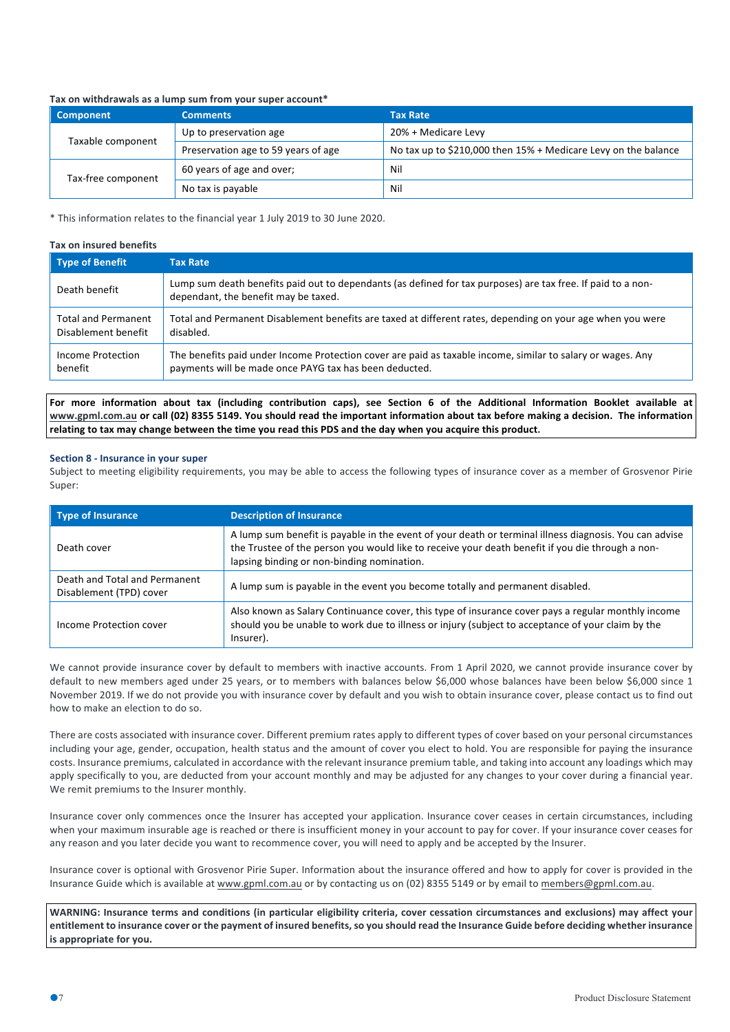## **Tax on withdrawals as a lump sum from your super account\***

| <b>Component</b>   | <b>Comments</b>                     | <b>Tax Rate</b>                                                |
|--------------------|-------------------------------------|----------------------------------------------------------------|
| Taxable component  | Up to preservation age              | 20% + Medicare Levy                                            |
|                    | Preservation age to 59 years of age | No tax up to \$210,000 then 15% + Medicare Levy on the balance |
| Tax-free component | 60 years of age and over;           | Nil                                                            |
|                    | No tax is payable                   | Nil                                                            |

\* This information relates to the financial year 1 July 2019 to 30 June 2020.

# **Tax on insured benefits**

| <b>Type of Benefit</b>     | <b>Tax Rate</b>                                                                                                                                      |
|----------------------------|------------------------------------------------------------------------------------------------------------------------------------------------------|
| Death benefit              | Lump sum death benefits paid out to dependants (as defined for tax purposes) are tax free. If paid to a non-<br>dependant, the benefit may be taxed. |
| <b>Total and Permanent</b> | Total and Permanent Disablement benefits are taxed at different rates, depending on your age when you were                                           |
| Disablement benefit        | disabled.                                                                                                                                            |
| Income Protection          | The benefits paid under Income Protection cover are paid as taxable income, similar to salary or wages. Any                                          |
| benefit                    | payments will be made once PAYG tax has been deducted.                                                                                               |

For more information about tax (including contribution caps), see Section 6 of the Additional Information Booklet available at www.gpml.com.au or call (02) 8355 5149. You should read the important information about tax before making a decision. The information relating to tax may change between the time you read this PDS and the day when you acquire this product.

## **Section 8 - Insurance in your super**

Subject to meeting eligibility requirements, you may be able to access the following types of insurance cover as a member of Grosvenor Pirie Super:

| <b>Type of Insurance</b>                                 | <b>Description of Insurance</b>                                                                                                                                                                                                                          |
|----------------------------------------------------------|----------------------------------------------------------------------------------------------------------------------------------------------------------------------------------------------------------------------------------------------------------|
| Death cover                                              | A lump sum benefit is payable in the event of your death or terminal illness diagnosis. You can advise<br>the Trustee of the person you would like to receive your death benefit if you die through a non-<br>lapsing binding or non-binding nomination. |
| Death and Total and Permanent<br>Disablement (TPD) cover | A lump sum is payable in the event you become totally and permanent disabled.                                                                                                                                                                            |
| Income Protection cover                                  | Also known as Salary Continuance cover, this type of insurance cover pays a regular monthly income<br>should you be unable to work due to illness or injury (subject to acceptance of your claim by the<br>Insurer).                                     |

We cannot provide insurance cover by default to members with inactive accounts. From 1 April 2020, we cannot provide insurance cover by default to new members aged under 25 years, or to members with balances below \$6,000 whose balances have been below \$6,000 since 1 November 2019. If we do not provide you with insurance cover by default and you wish to obtain insurance cover, please contact us to find out how to make an election to do so.

There are costs associated with insurance cover. Different premium rates apply to different types of cover based on your personal circumstances including your age, gender, occupation, health status and the amount of cover you elect to hold. You are responsible for paying the insurance costs. Insurance premiums, calculated in accordance with the relevant insurance premium table, and taking into account any loadings which may apply specifically to you, are deducted from your account monthly and may be adjusted for any changes to your cover during a financial year. We remit premiums to the Insurer monthly.

Insurance cover only commences once the Insurer has accepted your application. Insurance cover ceases in certain circumstances, including when your maximum insurable age is reached or there is insufficient money in your account to pay for cover. If your insurance cover ceases for any reason and you later decide you want to recommence cover, you will need to apply and be accepted by the Insurer.

Insurance cover is optional with Grosvenor Pirie Super. Information about the insurance offered and how to apply for cover is provided in the Insurance Guide which is available at www.gpml.com.au or by contacting us on (02) 8355 5149 or by email to members@gpml.com.au.

WARNING: Insurance terms and conditions (in particular eligibility criteria, cover cessation circumstances and exclusions) may affect your entitlement to insurance cover or the payment of insured benefits, so you should read the Insurance Guide before deciding whether insurance **is appropriate for you.**